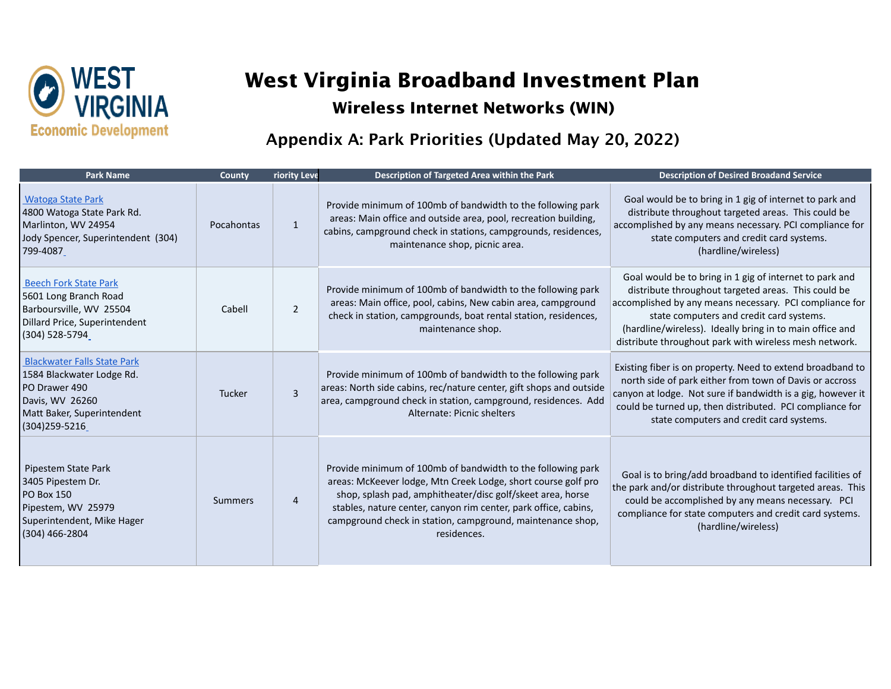

## **West Virginia Broadband Investment Plan**

## **Wireless Internet Networks (WIN)**

## Appendix A: Park Priorities (Updated May 20, 2022)

| <b>Park Name</b>                                                                                                                                      | County     | <b>riority Leve</b> | Description of Targeted Area within the Park                                                                                                                                                                                                                                                                                               | <b>Description of Desired Broadand Service</b>                                                                                                                                                                                                                                                                                              |
|-------------------------------------------------------------------------------------------------------------------------------------------------------|------------|---------------------|--------------------------------------------------------------------------------------------------------------------------------------------------------------------------------------------------------------------------------------------------------------------------------------------------------------------------------------------|---------------------------------------------------------------------------------------------------------------------------------------------------------------------------------------------------------------------------------------------------------------------------------------------------------------------------------------------|
| <b>Watoga State Park</b><br>4800 Watoga State Park Rd.<br>Marlinton, WV 24954<br>Jody Spencer, Superintendent (304)<br>799-4087                       | Pocahontas | $\mathbf{1}$        | Provide minimum of 100mb of bandwidth to the following park<br>areas: Main office and outside area, pool, recreation building,<br>cabins, campground check in stations, campgrounds, residences,<br>maintenance shop, picnic area.                                                                                                         | Goal would be to bring in 1 gig of internet to park and<br>distribute throughout targeted areas. This could be<br>accomplished by any means necessary. PCI compliance for<br>state computers and credit card systems.<br>(hardline/wireless)                                                                                                |
| <b>Beech Fork State Park</b><br>5601 Long Branch Road<br>Barboursville, WV 25504<br>Dillard Price, Superintendent<br>(304) 528-5794                   | Cabell     | $\overline{2}$      | Provide minimum of 100mb of bandwidth to the following park<br>areas: Main office, pool, cabins, New cabin area, campground<br>check in station, campgrounds, boat rental station, residences,<br>maintenance shop.                                                                                                                        | Goal would be to bring in 1 gig of internet to park and<br>distribute throughout targeted areas. This could be<br>accomplished by any means necessary. PCI compliance for<br>state computers and credit card systems.<br>(hardline/wireless). Ideally bring in to main office and<br>distribute throughout park with wireless mesh network. |
| <b>Blackwater Falls State Park</b><br>1584 Blackwater Lodge Rd.<br>PO Drawer 490<br>Davis, WV 26260<br>Matt Baker, Superintendent<br>$(304)$ 259-5216 | Tucker     | $\overline{3}$      | Provide minimum of 100mb of bandwidth to the following park<br>areas: North side cabins, rec/nature center, gift shops and outside<br>area, campground check in station, campground, residences. Add<br>Alternate: Picnic shelters                                                                                                         | Existing fiber is on property. Need to extend broadband to<br>north side of park either from town of Davis or accross<br>canyon at lodge. Not sure if bandwidth is a gig, however it<br>could be turned up, then distributed. PCI compliance for<br>state computers and credit card systems.                                                |
| Pipestem State Park<br>3405 Pipestem Dr.<br><b>PO Box 150</b><br>Pipestem, WV 25979<br>Superintendent, Mike Hager<br>$(304)$ 466-2804                 | Summers    | $\overline{4}$      | Provide minimum of 100mb of bandwidth to the following park<br>areas: McKeever lodge, Mtn Creek Lodge, short course golf pro<br>shop, splash pad, amphitheater/disc golf/skeet area, horse<br>stables, nature center, canyon rim center, park office, cabins,<br>campground check in station, campground, maintenance shop,<br>residences. | Goal is to bring/add broadband to identified facilities of<br>the park and/or distribute throughout targeted areas. This<br>could be accomplished by any means necessary. PCI<br>compliance for state computers and credit card systems.<br>(hardline/wireless)                                                                             |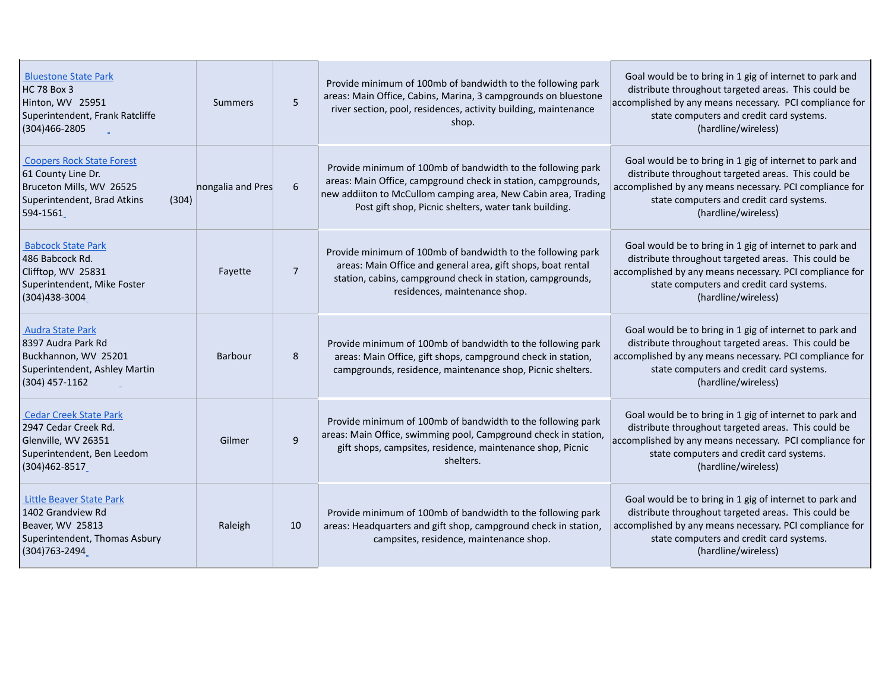| <b>Bluestone State Park</b><br><b>HC 78 Box 3</b><br>Hinton, WV 25951<br>Superintendent, Frank Ratcliffe<br>$(304)466 - 2805$          | Summers           | 5              | Provide minimum of 100mb of bandwidth to the following park<br>areas: Main Office, Cabins, Marina, 3 campgrounds on bluestone<br>river section, pool, residences, activity building, maintenance<br>shop.                                               | Goal would be to bring in 1 gig of internet to park and<br>distribute throughout targeted areas. This could be<br>accomplished by any means necessary. PCI compliance for<br>state computers and credit card systems.<br>(hardline/wireless) |
|----------------------------------------------------------------------------------------------------------------------------------------|-------------------|----------------|---------------------------------------------------------------------------------------------------------------------------------------------------------------------------------------------------------------------------------------------------------|----------------------------------------------------------------------------------------------------------------------------------------------------------------------------------------------------------------------------------------------|
| <b>Coopers Rock State Forest</b><br>61 County Line Dr.<br>Bruceton Mills, WV 26525<br>Superintendent, Brad Atkins<br>(304)<br>594-1561 | nongalia and Pres | 6              | Provide minimum of 100mb of bandwidth to the following park<br>areas: Main Office, campground check in station, campgrounds,<br>new addiiton to McCullom camping area, New Cabin area, Trading<br>Post gift shop, Picnic shelters, water tank building. | Goal would be to bring in 1 gig of internet to park and<br>distribute throughout targeted areas. This could be<br>accomplished by any means necessary. PCI compliance for<br>state computers and credit card systems.<br>(hardline/wireless) |
| <b>Babcock State Park</b><br>486 Babcock Rd.<br>Clifftop, WV 25831<br>Superintendent, Mike Foster<br>(304)438-3004                     | Fayette           | $\overline{7}$ | Provide minimum of 100mb of bandwidth to the following park<br>areas: Main Office and general area, gift shops, boat rental<br>station, cabins, campground check in station, campgrounds,<br>residences, maintenance shop.                              | Goal would be to bring in 1 gig of internet to park and<br>distribute throughout targeted areas. This could be<br>accomplished by any means necessary. PCI compliance for<br>state computers and credit card systems.<br>(hardline/wireless) |
| <b>Audra State Park</b><br>8397 Audra Park Rd<br>Buckhannon, WV 25201<br>Superintendent, Ashley Martin<br>$(304)$ 457-1162             | <b>Barbour</b>    | 8              | Provide minimum of 100mb of bandwidth to the following park<br>areas: Main Office, gift shops, campground check in station,<br>campgrounds, residence, maintenance shop, Picnic shelters.                                                               | Goal would be to bring in 1 gig of internet to park and<br>distribute throughout targeted areas. This could be<br>accomplished by any means necessary. PCI compliance for<br>state computers and credit card systems.<br>(hardline/wireless) |
| <b>Cedar Creek State Park</b><br>2947 Cedar Creek Rd.<br>Glenville, WV 26351<br>Superintendent, Ben Leedom<br>(304) 462-8517           | Gilmer            | 9              | Provide minimum of 100mb of bandwidth to the following park<br>areas: Main Office, swimming pool, Campground check in station,<br>gift shops, campsites, residence, maintenance shop, Picnic<br>shelters.                                               | Goal would be to bring in 1 gig of internet to park and<br>distribute throughout targeted areas. This could be<br>accomplished by any means necessary. PCI compliance for<br>state computers and credit card systems.<br>(hardline/wireless) |
| <b>Little Beaver State Park</b><br>1402 Grandview Rd<br>Beaver, WV 25813<br>Superintendent, Thomas Asbury<br>(304) 763 - 2494          | Raleigh           | 10             | Provide minimum of 100mb of bandwidth to the following park<br>areas: Headquarters and gift shop, campground check in station,<br>campsites, residence, maintenance shop.                                                                               | Goal would be to bring in 1 gig of internet to park and<br>distribute throughout targeted areas. This could be<br>accomplished by any means necessary. PCI compliance for<br>state computers and credit card systems.<br>(hardline/wireless) |

L.